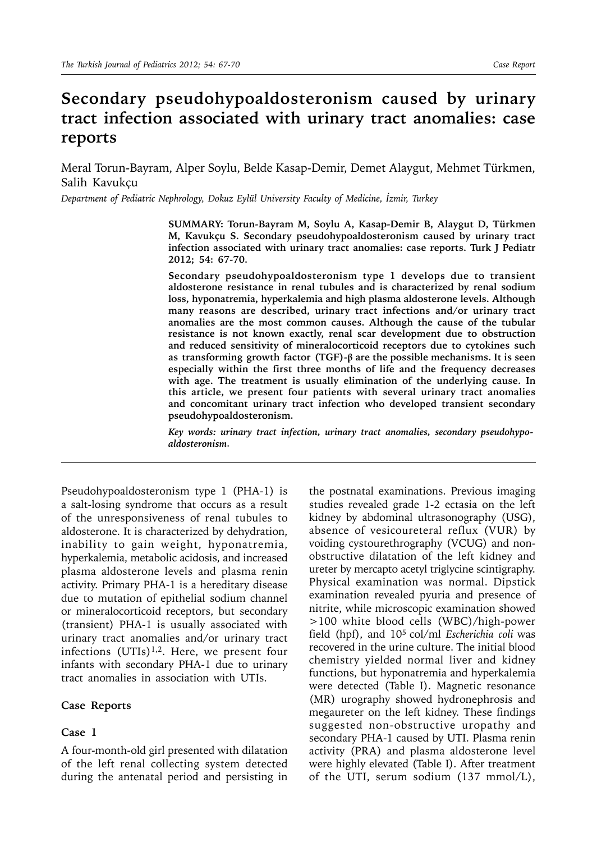# **Secondary pseudohypoaldosteronism caused by urinary tract infection associated with urinary tract anomalies: case reports**

Meral Torun-Bayram, Alper Soylu, Belde Kasap-Demir, Demet Alaygut, Mehmet Türkmen, Salih Kavukçu

*Department of Pediatric Nephrology, Dokuz Eylül University Faculty of Medicine, İzmir, Turkey*

**SUMMARY: Torun-Bayram M, Soylu A, Kasap-Demir B, Alaygut D, Türkmen M, Kavukçu S. Secondary pseudohypoaldosteronism caused by urinary tract infection associated with urinary tract anomalies: case reports. Turk J Pediatr 2012; 54: 67-70.**

**Secondary pseudohypoaldosteronism type 1 develops due to transient aldosterone resistance in renal tubules and is characterized by renal sodium loss, hyponatremia, hyperkalemia and high plasma aldosterone levels. Although many reasons are described, urinary tract infections and/or urinary tract anomalies are the most common causes. Although the cause of the tubular resistance is not known exactly, renal scar development due to obstruction and reduced sensitivity of mineralocorticoid receptors due to cytokines such as transforming growth factor (TGF)-β are the possible mechanisms. It is seen especially within the first three months of life and the frequency decreases with age. The treatment is usually elimination of the underlying cause. In this article, we present four patients with several urinary tract anomalies and concomitant urinary tract infection who developed transient secondary pseudohypoaldosteronism.**

*Key words: urinary tract infection, urinary tract anomalies, secondary pseudohypoaldosteronism.*

Pseudohypoaldosteronism type 1 (PHA-1) is a salt-losing syndrome that occurs as a result of the unresponsiveness of renal tubules to aldosterone. It is characterized by dehydration, inability to gain weight, hyponatremia, hyperkalemia, metabolic acidosis, and increased plasma aldosterone levels and plasma renin activity. Primary PHA-1 is a hereditary disease due to mutation of epithelial sodium channel or mineralocorticoid receptors, but secondary (transient) PHA-1 is usually associated with urinary tract anomalies and/or urinary tract infections  $(UTIs)^{1,2}$ . Here, we present four infants with secondary PHA-1 due to urinary tract anomalies in association with UTIs.

#### **Case Reports**

### **Case 1**

A four-month-old girl presented with dilatation of the left renal collecting system detected during the antenatal period and persisting in

the postnatal examinations. Previous imaging studies revealed grade 1-2 ectasia on the left kidney by abdominal ultrasonography (USG), absence of vesicoureteral reflux (VUR) by voiding cystourethrography (VCUG) and nonobstructive dilatation of the left kidney and ureter by mercapto acetyl triglycine scintigraphy. Physical examination was normal. Dipstick examination revealed pyuria and presence of nitrite, while microscopic examination showed >100 white blood cells (WBC)/high-power field (hpf), and 105 col/ml *Escherichia coli* was recovered in the urine culture. The initial blood chemistry yielded normal liver and kidney functions, but hyponatremia and hyperkalemia were detected (Table I). Magnetic resonance (MR) urography showed hydronephrosis and megaureter on the left kidney. These findings suggested non-obstructive uropathy and secondary PHA-1 caused by UTI. Plasma renin activity (PRA) and plasma aldosterone level were highly elevated (Table I). After treatment of the UTI, serum sodium (137 mmol/L),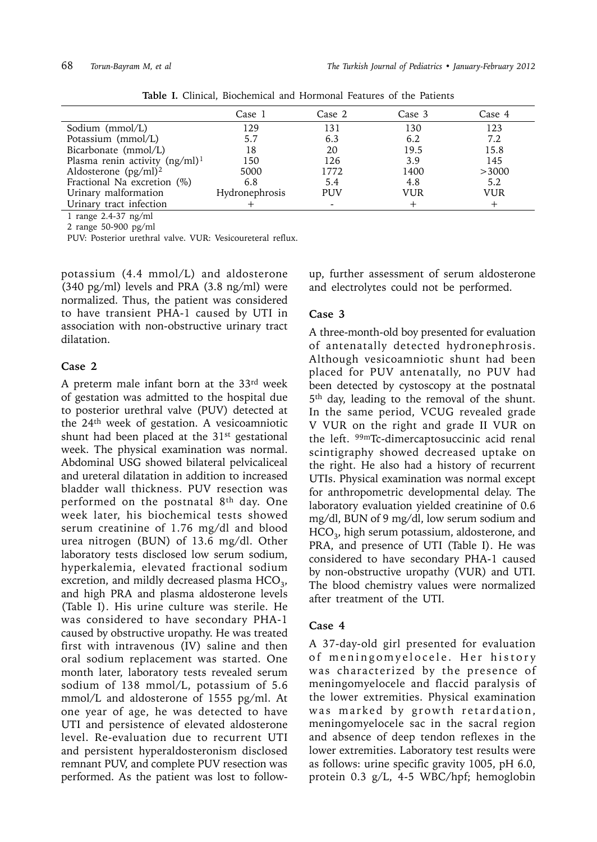|                                   | Case 1         | Case 2     | Case 3 | Case 4 |
|-----------------------------------|----------------|------------|--------|--------|
| Sodium (mmol/L)                   | 129            | 131        | 130    | 123    |
| Potassium (mmol/L)                | 5.7            | 6.3        | 6.2    | 7.2    |
| Bicarbonate (mmol/L)              | 18             | 20         | 19.5   | 15.8   |
| Plasma renin activity $(ng/ml)^1$ | 150            | 126        | 3.9    | 145    |
| Aldosterone $(pg/ml)^2$           | 5000           | 1772       | 1400   | >3000  |
| Fractional Na excretion (%)       | 6.8            | 5.4        | 4.8    | 5.2    |
| Urinary malformation              | Hydronephrosis | <b>PUV</b> | VUR    | VUR    |
| Urinary tract infection           |                |            |        |        |
|                                   |                |            |        |        |

**Table I.** Clinical, Biochemical and Hormonal Features of the Patients

1 range 2.4-37 ng/ml

2 range 50-900 pg/ml

PUV: Posterior urethral valve. VUR: Vesicoureteral reflux.

potassium (4.4 mmol/L) and aldosterone (340 pg/ml) levels and PRA (3.8 ng/ml) were normalized. Thus, the patient was considered to have transient PHA-1 caused by UTI in association with non-obstructive urinary tract dilatation.

#### **Case 2**

A preterm male infant born at the 33rd week of gestation was admitted to the hospital due to posterior urethral valve (PUV) detected at the 24th week of gestation. A vesicoamniotic shunt had been placed at the  $31<sup>st</sup>$  gestational week. The physical examination was normal. Abdominal USG showed bilateral pelvicaliceal and ureteral dilatation in addition to increased bladder wall thickness. PUV resection was performed on the postnatal 8th day. One week later, his biochemical tests showed serum creatinine of 1.76 mg/dl and blood urea nitrogen (BUN) of 13.6 mg/dl. Other laboratory tests disclosed low serum sodium, hyperkalemia, elevated fractional sodium excretion, and mildly decreased plasma  $HCO<sub>3</sub>$ , and high PRA and plasma aldosterone levels (Table I). His urine culture was sterile. He was considered to have secondary PHA-1 caused by obstructive uropathy. He was treated first with intravenous (IV) saline and then oral sodium replacement was started. One month later, laboratory tests revealed serum sodium of 138 mmol/L, potassium of 5.6 mmol/L and aldosterone of 1555 pg/ml. At one year of age, he was detected to have UTI and persistence of elevated aldosterone level. Re-evaluation due to recurrent UTI and persistent hyperaldosteronism disclosed remnant PUV, and complete PUV resection was performed. As the patient was lost to follow-

up, further assessment of serum aldosterone and electrolytes could not be performed.

### **Case 3**

A three-month-old boy presented for evaluation of antenatally detected hydronephrosis. Although vesicoamniotic shunt had been placed for PUV antenatally, no PUV had been detected by cystoscopy at the postnatal 5th day, leading to the removal of the shunt. In the same period, VCUG revealed grade V VUR on the right and grade II VUR on the left. 99mTc-dimercaptosuccinic acid renal scintigraphy showed decreased uptake on the right. He also had a history of recurrent UTIs. Physical examination was normal except for anthropometric developmental delay. The laboratory evaluation yielded creatinine of 0.6 mg/dl, BUN of 9 mg/dl, low serum sodium and  $HCO<sub>3</sub>$ , high serum potassium, aldosterone, and PRA, and presence of UTI (Table I). He was considered to have secondary PHA-1 caused by non-obstructive uropathy (VUR) and UTI. The blood chemistry values were normalized after treatment of the UTI.

## **Case 4**

A 37-day-old girl presented for evaluation of meningomyelocele. Her history was characterized by the presence of meningomyelocele and flaccid paralysis of the lower extremities. Physical examination was marked by growth retardation, meningomyelocele sac in the sacral region and absence of deep tendon reflexes in the lower extremities. Laboratory test results were as follows: urine specific gravity 1005, pH 6.0, protein 0.3 g/L, 4-5 WBC/hpf; hemoglobin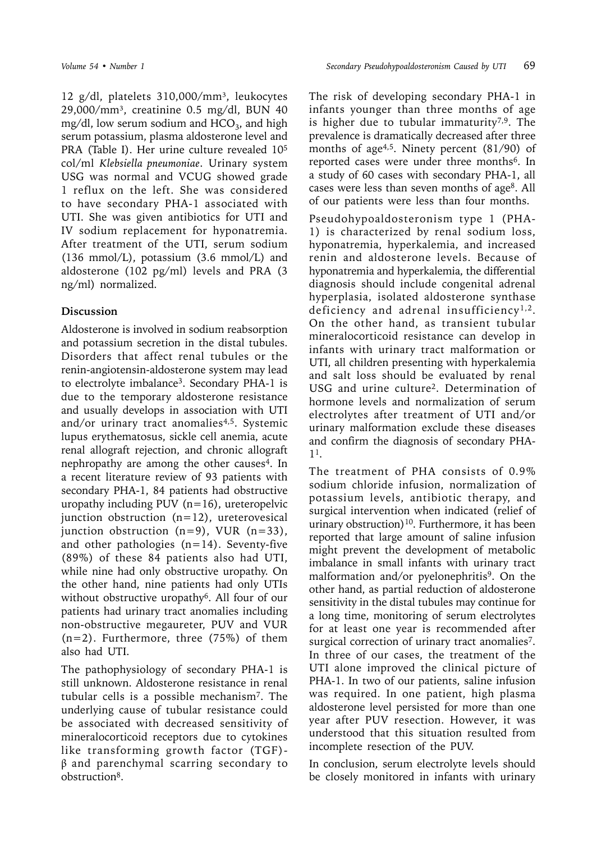12 g/dl, platelets 310,000/mm<sup>3</sup>, leukocytes 29,000/mm³, creatinine 0.5 mg/dl, BUN 40  $mg/dl$ , low serum sodium and  $HCO<sub>3</sub>$ , and high serum potassium, plasma aldosterone level and PRA (Table I). Her urine culture revealed 105 col/ml *Klebsiella pneumoniae*. Urinary system USG was normal and VCUG showed grade 1 reflux on the left. She was considered to have secondary PHA-1 associated with UTI. She was given antibiotics for UTI and IV sodium replacement for hyponatremia. After treatment of the UTI, serum sodium (136 mmol/L), potassium (3.6 mmol/L) and aldosterone (102 pg/ml) levels and PRA (3 ng/ml) normalized.

# **Discussion**

Aldosterone is involved in sodium reabsorption and potassium secretion in the distal tubules. Disorders that affect renal tubules or the renin-angiotensin-aldosterone system may lead to electrolyte imbalance3. Secondary PHA-1 is due to the temporary aldosterone resistance and usually develops in association with UTI and/or urinary tract anomalies<sup>4,5</sup>. Systemic lupus erythematosus, sickle cell anemia, acute renal allograft rejection, and chronic allograft nephropathy are among the other causes<sup>4</sup>. In a recent literature review of 93 patients with secondary PHA-1, 84 patients had obstructive uropathy including PUV  $(n=16)$ , ureteropelvic junction obstruction (n=12), ureterovesical junction obstruction  $(n=9)$ , VUR  $(n=33)$ , and other pathologies  $(n=14)$ . Seventy-five (89%) of these 84 patients also had UTI, while nine had only obstructive uropathy. On the other hand, nine patients had only UTIs without obstructive uropathy<sup>6</sup>. All four of our patients had urinary tract anomalies including non-obstructive megaureter, PUV and VUR (n=2). Furthermore, three (75%) of them also had UTI.

The pathophysiology of secondary PHA-1 is still unknown. Aldosterone resistance in renal tubular cells is a possible mechanism7. The underlying cause of tubular resistance could be associated with decreased sensitivity of mineralocorticoid receptors due to cytokines like transforming growth factor (TGF) β and parenchymal scarring secondary to obstruction8.

The risk of developing secondary PHA-1 in infants younger than three months of age is higher due to tubular immaturity<sup>7,9</sup>. The prevalence is dramatically decreased after three months of age<sup>4,5</sup>. Ninety percent (81/90) of reported cases were under three months<sup>6</sup>. In a study of 60 cases with secondary PHA-1, all cases were less than seven months of age8. All of our patients were less than four months.

Pseudohypoaldosteronism type 1 (PHA-1) is characterized by renal sodium loss, hyponatremia, hyperkalemia, and increased renin and aldosterone levels. Because of hyponatremia and hyperkalemia, the differential diagnosis should include congenital adrenal hyperplasia, isolated aldosterone synthase deficiency and adrenal insufficiency<sup>1,2</sup>. On the other hand, as transient tubular mineralocorticoid resistance can develop in infants with urinary tract malformation or UTI, all children presenting with hyperkalemia and salt loss should be evaluated by renal USG and urine culture2. Determination of hormone levels and normalization of serum electrolytes after treatment of UTI and/or urinary malformation exclude these diseases and confirm the diagnosis of secondary PHA-11.

The treatment of PHA consists of 0.9% sodium chloride infusion, normalization of potassium levels, antibiotic therapy, and surgical intervention when indicated (relief of urinary obstruction)<sup>10</sup>. Furthermore, it has been reported that large amount of saline infusion might prevent the development of metabolic imbalance in small infants with urinary tract malformation and/or pyelonephritis<sup>9</sup>. On the other hand, as partial reduction of aldosterone sensitivity in the distal tubules may continue for a long time, monitoring of serum electrolytes for at least one year is recommended after surgical correction of urinary tract anomalies<sup>7</sup>. In three of our cases, the treatment of the UTI alone improved the clinical picture of PHA-1. In two of our patients, saline infusion was required. In one patient, high plasma aldosterone level persisted for more than one year after PUV resection. However, it was understood that this situation resulted from incomplete resection of the PUV.

In conclusion, serum electrolyte levels should be closely monitored in infants with urinary